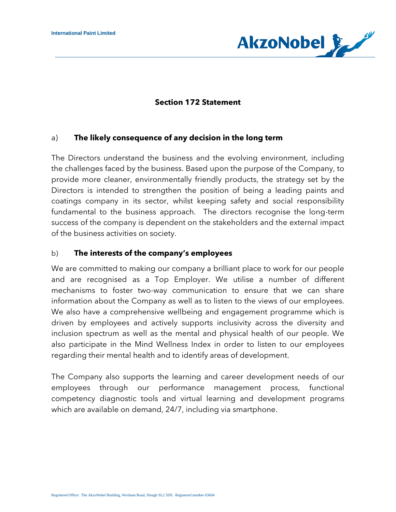

### **Section 172 Statement**

### a) **The likely consequence of any decision in the long term**

The Directors understand the business and the evolving environment, including the challenges faced by the business. Based upon the purpose of the Company, to provide more cleaner, environmentally friendly products, the strategy set by the Directors is intended to strengthen the position of being a leading paints and coatings company in its sector, whilst keeping safety and social responsibility fundamental to the business approach. The directors recognise the long-term success of the company is dependent on the stakeholders and the external impact of the business activities on society.

### b) **The interests of the company's employees**

We are committed to making our company a brilliant place to work for our people and are recognised as a Top Employer. We utilise a number of different mechanisms to foster two-way communication to ensure that we can share information about the Company as well as to listen to the views of our employees. We also have a comprehensive wellbeing and engagement programme which is driven by employees and actively supports inclusivity across the diversity and inclusion spectrum as well as the mental and physical health of our people. We also participate in the Mind Wellness Index in order to listen to our employees regarding their mental health and to identify areas of development.

The Company also supports the learning and career development needs of our employees through our performance management process, functional competency diagnostic tools and virtual learning and development programs which are available on demand, 24/7, including via smartphone.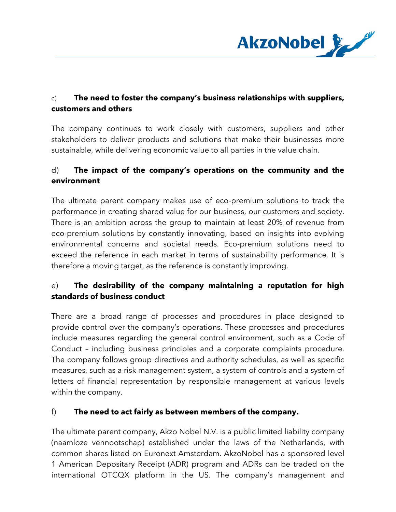

## c) **The need to foster the company's business relationships with suppliers, customers and others**

The company continues to work closely with customers, suppliers and other stakeholders to deliver products and solutions that make their businesses more sustainable, while delivering economic value to all parties in the value chain.

# d) **The impact of the company's operations on the community and the environment**

The ultimate parent company makes use of eco-premium solutions to track the performance in creating shared value for our business, our customers and society. There is an ambition across the group to maintain at least 20% of revenue from eco-premium solutions by constantly innovating, based on insights into evolving environmental concerns and societal needs. Eco-premium solutions need to exceed the reference in each market in terms of sustainability performance. It is therefore a moving target, as the reference is constantly improving.

# e) **The desirability of the company maintaining a reputation for high standards of business conduct**

There are a broad range of processes and procedures in place designed to provide control over the company's operations. These processes and procedures include measures regarding the general control environment, such as a Code of Conduct – including business principles and a corporate complaints procedure. The company follows group directives and authority schedules, as well as specific measures, such as a risk management system, a system of controls and a system of letters of financial representation by responsible management at various levels within the company.

### f) **The need to act fairly as between members of the company.**

The ultimate parent company, Akzo Nobel N.V. is a public limited liability company (naamloze vennootschap) established under the laws of the Netherlands, with common shares listed on Euronext Amsterdam. AkzoNobel has a sponsored level 1 American Depositary Receipt (ADR) program and ADRs can be traded on the international OTCQX platform in the US. The company's management and